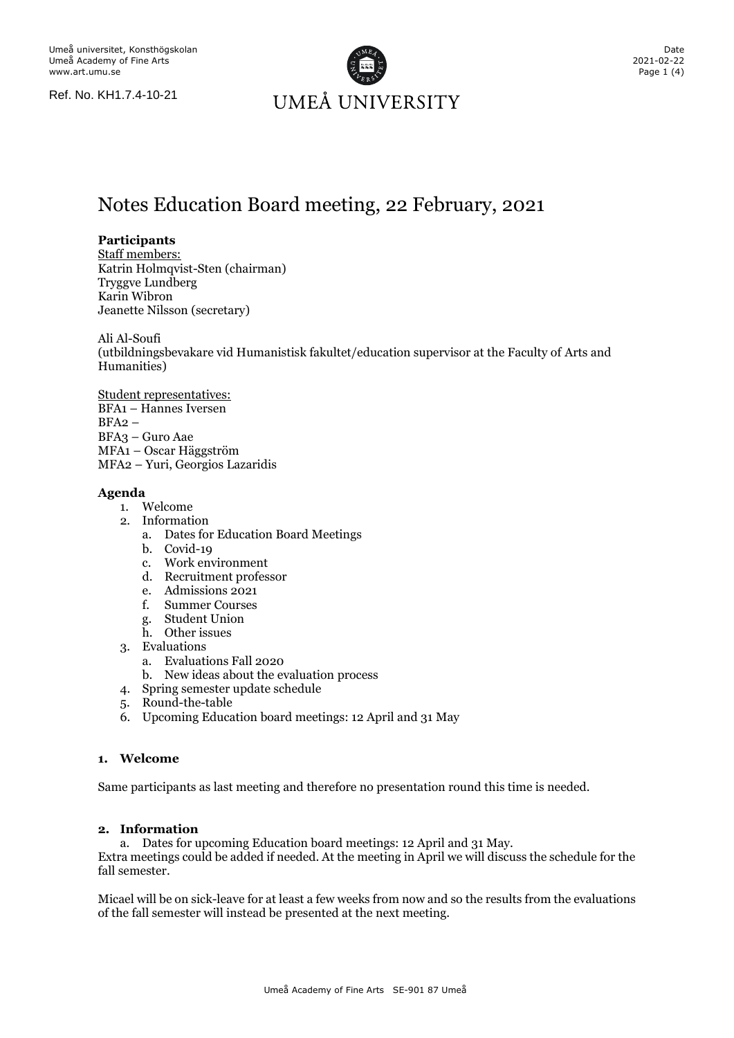Ref. No. KH1.7.4-10-21



## Notes Education Board meeting, 22 February, 2021

#### **Participants**

Staff members: Katrin Holmqvist-Sten (chairman) Tryggve Lundberg Karin Wibron Jeanette Nilsson (secretary)

Ali Al-Soufi

(utbildningsbevakare vid Humanistisk fakultet/education supervisor at the Faculty of Arts and Humanities)

Student representatives: BFA1 – Hannes Iversen BFA2 – BFA3 – Guro Aae MFA1 – Oscar Häggström MFA2 – Yuri, Georgios Lazaridis

#### **Agenda**

- 1. Welcome
- 2. Information
	- a. Dates for Education Board Meetings
	- b. Covid-19
	- c. Work environment
	- d. Recruitment professor
	- e. Admissions 2021
	- f. Summer Courses
	- g. Student Union
	- h. Other issues
- 3. Evaluations
	- a. Evaluations Fall 2020
	- b. New ideas about the evaluation process
- 4. Spring semester update schedule
- 5. Round-the-table
- 6. Upcoming Education board meetings: 12 April and 31 May

#### **1. Welcome**

Same participants as last meeting and therefore no presentation round this time is needed.

#### **2. Information**

a. Dates for upcoming Education board meetings: 12 April and 31 May.

Extra meetings could be added if needed. At the meeting in April we will discuss the schedule for the fall semester.

Micael will be on sick-leave for at least a few weeks from now and so the results from the evaluations of the fall semester will instead be presented at the next meeting.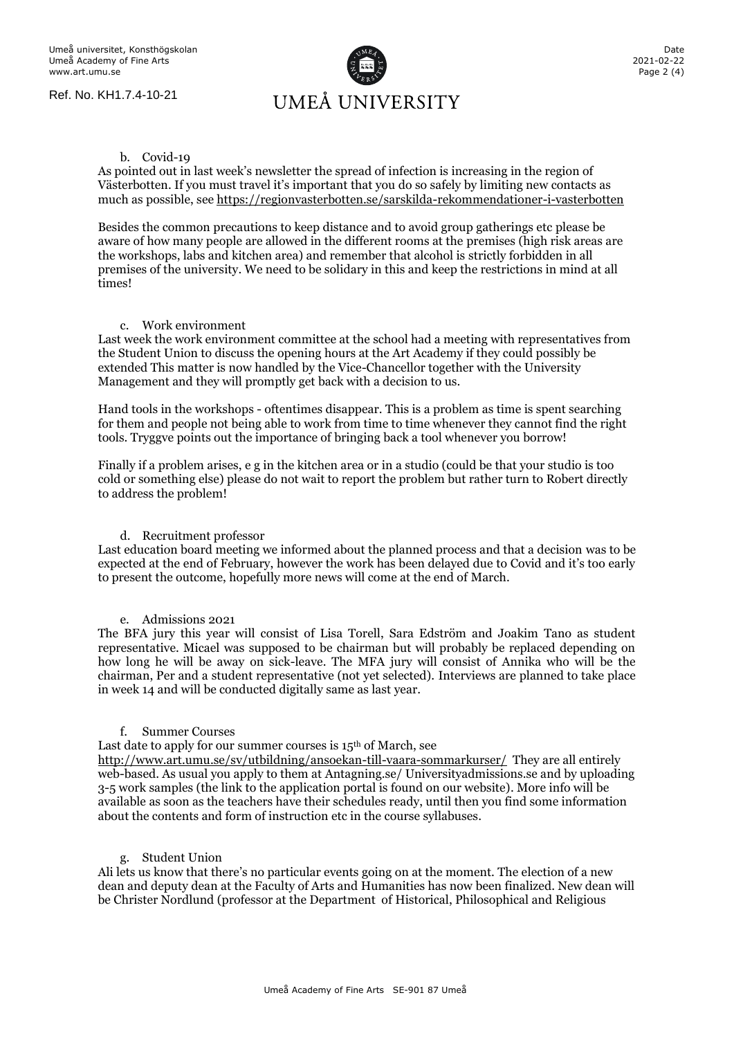Ref. No. KH1.7.4-10-21

# UMEÅ UNIVERSITY

#### b. Covid-19

As pointed out in last week's newsletter the spread of infection is increasing in the region of Västerbotten. If you must travel it's important that you do so safely by limiting new contacts as much as possible, see<https://regionvasterbotten.se/sarskilda-rekommendationer-i-vasterbotten>

Besides the common precautions to keep distance and to avoid group gatherings etc please be aware of how many people are allowed in the different rooms at the premises (high risk areas are the workshops, labs and kitchen area) and remember that alcohol is strictly forbidden in all premises of the university. We need to be solidary in this and keep the restrictions in mind at all times!

#### c. Work environment

Last week the work environment committee at the school had a meeting with representatives from the Student Union to discuss the opening hours at the Art Academy if they could possibly be extended This matter is now handled by the Vice-Chancellor together with the University Management and they will promptly get back with a decision to us.

Hand tools in the workshops - oftentimes disappear. This is a problem as time is spent searching for them and people not being able to work from time to time whenever they cannot find the right tools. Tryggve points out the importance of bringing back a tool whenever you borrow!

Finally if a problem arises, e g in the kitchen area or in a studio (could be that your studio is too cold or something else) please do not wait to report the problem but rather turn to Robert directly to address the problem!

#### d. Recruitment professor

Last education board meeting we informed about the planned process and that a decision was to be expected at the end of February, however the work has been delayed due to Covid and it's too early to present the outcome, hopefully more news will come at the end of March.

#### e. Admissions 2021

The BFA jury this year will consist of Lisa Torell, Sara Edström and Joakim Tano as student representative. Micael was supposed to be chairman but will probably be replaced depending on how long he will be away on sick-leave. The MFA jury will consist of Annika who will be the chairman, Per and a student representative (not yet selected). Interviews are planned to take place in week 14 and will be conducted digitally same as last year.

#### f. Summer Courses

Last date to apply for our summer courses is  $15<sup>th</sup>$  of March, see

<http://www.art.umu.se/sv/utbildning/ansoekan-till-vaara-sommarkurser/>They are all entirely web-based. As usual you apply to them at Antagning.se/ Universityadmissions.se and by uploading 3-5 work samples (the link to the application portal is found on our website). More info will be available as soon as the teachers have their schedules ready, until then you find some information about the contents and form of instruction etc in the course syllabuses.

#### g. Student Union

Ali lets us know that there's no particular events going on at the moment. The election of a new dean and deputy dean at the Faculty of Arts and Humanities has now been finalized. New dean will be Christer Nordlund (professor at the Department of Historical, Philosophical and Religious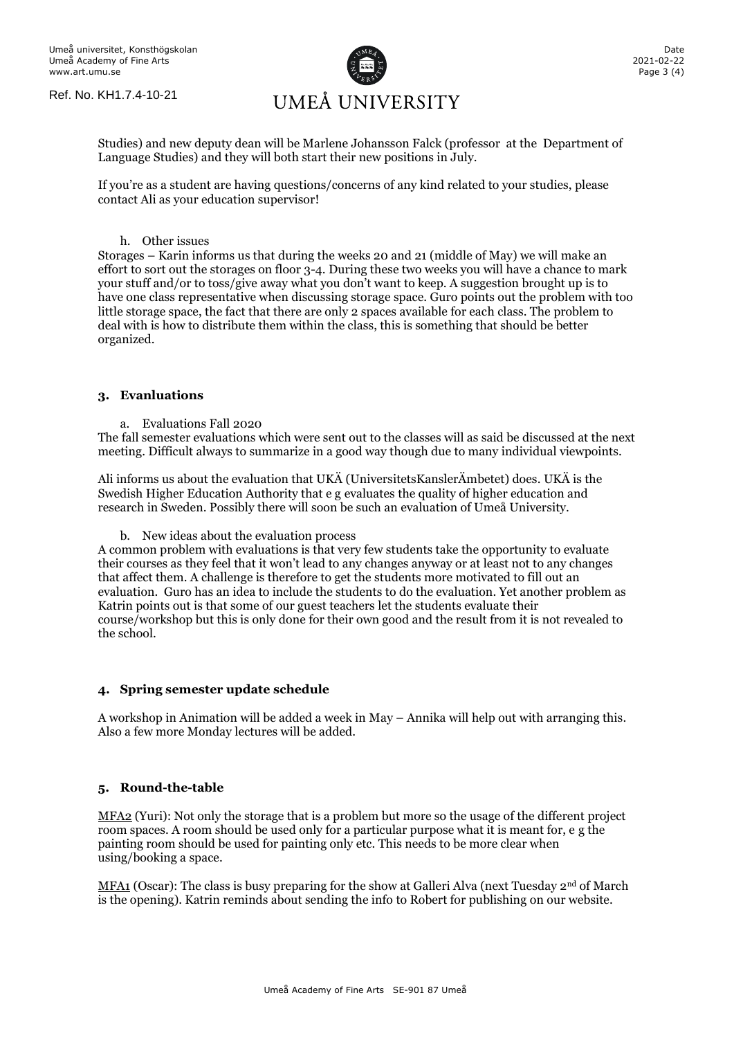

Studies) and new deputy dean will be Marlene Johansson Falck (professor at the Department of Language Studies) and they will both start their new positions in July.

If you're as a student are having questions/concerns of any kind related to your studies, please contact Ali as your education supervisor!

#### h. Other issues

Storages – Karin informs us that during the weeks 20 and 21 (middle of May) we will make an effort to sort out the storages on floor 3-4. During these two weeks you will have a chance to mark your stuff and/or to toss/give away what you don't want to keep. A suggestion brought up is to have one class representative when discussing storage space. Guro points out the problem with too little storage space, the fact that there are only 2 spaces available for each class. The problem to deal with is how to distribute them within the class, this is something that should be better organized.

#### **3. Evanluations**

a. Evaluations Fall 2020

The fall semester evaluations which were sent out to the classes will as said be discussed at the next meeting. Difficult always to summarize in a good way though due to many individual viewpoints.

Ali informs us about the evaluation that UKÄ (UniversitetsKanslerÄmbetet) does. UKÄ is the Swedish Higher Education Authority that e g evaluates the quality of higher education and research in Sweden. Possibly there will soon be such an evaluation of Umeå University.

b. New ideas about the evaluation process

A common problem with evaluations is that very few students take the opportunity to evaluate their courses as they feel that it won't lead to any changes anyway or at least not to any changes that affect them. A challenge is therefore to get the students more motivated to fill out an evaluation. Guro has an idea to include the students to do the evaluation. Yet another problem as Katrin points out is that some of our guest teachers let the students evaluate their course/workshop but this is only done for their own good and the result from it is not revealed to the school.

#### **4. Spring semester update schedule**

A workshop in Animation will be added a week in May – Annika will help out with arranging this. Also a few more Monday lectures will be added.

#### **5. Round-the-table**

MFA<sub>2</sub> (Yuri): Not only the storage that is a problem but more so the usage of the different project room spaces. A room should be used only for a particular purpose what it is meant for, e g the painting room should be used for painting only etc. This needs to be more clear when using/booking a space.

MFA1 (Oscar): The class is busy preparing for the show at Galleri Alva (next Tuesday 2<sup>nd</sup> of March is the opening). Katrin reminds about sending the info to Robert for publishing on our website.